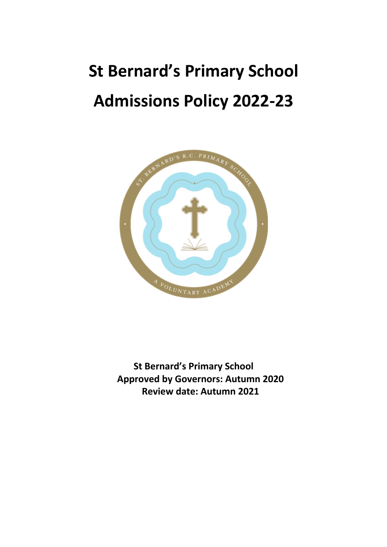# **St Bernard's Primary School Admissions Policy 2022-23**



**St Bernard's Primary School Approved by Governors: Autumn 2020 Review date: Autumn 2021**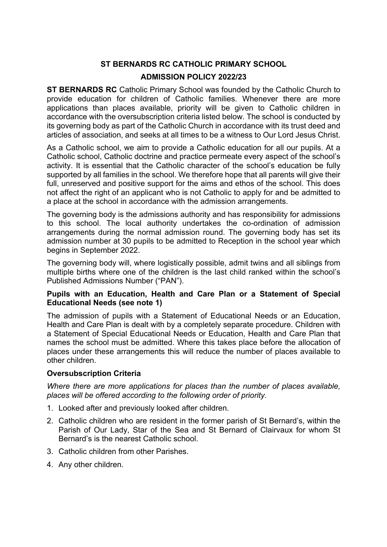# **ST BERNARDS RC CATHOLIC PRIMARY SCHOOL**

## **ADMISSION POLICY 2022/23**

**ST BERNARDS RC** Catholic Primary School was founded by the Catholic Church to provide education for children of Catholic families. Whenever there are more applications than places available, priority will be given to Catholic children in accordance with the oversubscription criteria listed below. The school is conducted by its governing body as part of the Catholic Church in accordance with its trust deed and articles of association, and seeks at all times to be a witness to Our Lord Jesus Christ.

As a Catholic school, we aim to provide a Catholic education for all our pupils. At a Catholic school, Catholic doctrine and practice permeate every aspect of the school's activity. It is essential that the Catholic character of the school's education be fully supported by all families in the school. We therefore hope that all parents will give their full, unreserved and positive support for the aims and ethos of the school. This does not affect the right of an applicant who is not Catholic to apply for and be admitted to a place at the school in accordance with the admission arrangements.

The governing body is the admissions authority and has responsibility for admissions to this school. The local authority undertakes the co-ordination of admission arrangements during the normal admission round. The governing body has set its admission number at 30 pupils to be admitted to Reception in the school year which begins in September 2022.

The governing body will, where logistically possible, admit twins and all siblings from multiple births where one of the children is the last child ranked within the school's Published Admissions Number ("PAN").

## **Pupils with an Education, Health and Care Plan or a Statement of Special Educational Needs (see note 1)**

The admission of pupils with a Statement of Educational Needs or an Education, Health and Care Plan is dealt with by a completely separate procedure. Children with a Statement of Special Educational Needs or Education, Health and Care Plan that names the school must be admitted. Where this takes place before the allocation of places under these arrangements this will reduce the number of places available to other children.

## **Oversubscription Criteria**

*Where there are more applications for places than the number of places available, places will be offered according to the following order of priority.*

- 1. Looked after and previously looked after children.
- 2. Catholic children who are resident in the former parish of St Bernard's, within the Parish of Our Lady, Star of the Sea and St Bernard of Clairvaux for whom St Bernard's is the nearest Catholic school.
- 3. Catholic children from other Parishes.
- 4. Any other children.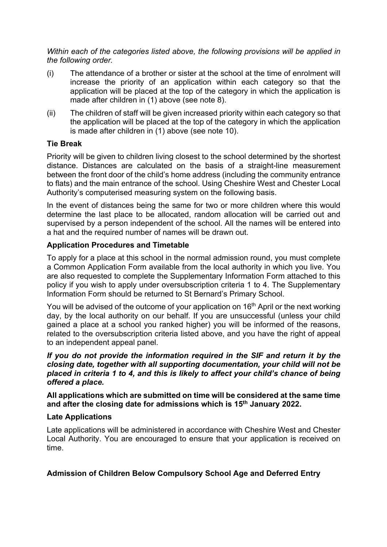*Within each of the categories listed above, the following provisions will be applied in the following order.*

- (i) The attendance of a brother or sister at the school at the time of enrolment will increase the priority of an application within each category so that the application will be placed at the top of the category in which the application is made after children in (1) above (see note 8).
- (ii) The children of staff will be given increased priority within each category so that the application will be placed at the top of the category in which the application is made after children in (1) above (see note 10).

## **Tie Break**

Priority will be given to children living closest to the school determined by the shortest distance. Distances are calculated on the basis of a straight-line measurement between the front door of the child's home address (including the community entrance to flats) and the main entrance of the school. Using Cheshire West and Chester Local Authority's computerised measuring system on the following basis.

In the event of distances being the same for two or more children where this would determine the last place to be allocated, random allocation will be carried out and supervised by a person independent of the school. All the names will be entered into a hat and the required number of names will be drawn out.

## **Application Procedures and Timetable**

To apply for a place at this school in the normal admission round, you must complete a Common Application Form available from the local authority in which you live. You are also requested to complete the Supplementary Information Form attached to this policy if you wish to apply under oversubscription criteria 1 to 4. The Supplementary Information Form should be returned to St Bernard's Primary School.

You will be advised of the outcome of your application on 16<sup>th</sup> April or the next working day, by the local authority on our behalf. If you are unsuccessful (unless your child gained a place at a school you ranked higher) you will be informed of the reasons, related to the oversubscription criteria listed above, and you have the right of appeal to an independent appeal panel.

*If you do not provide the information required in the SIF and return it by the closing date, together with all supporting documentation, your child will not be placed in criteria 1 to 4, and this is likely to affect your child's chance of being offered a place.*

**All applications which are submitted on time will be considered at the same time and after the closing date for admissions which is 15th January 2022.**

## **Late Applications**

Late applications will be administered in accordance with Cheshire West and Chester Local Authority. You are encouraged to ensure that your application is received on time.

## **Admission of Children Below Compulsory School Age and Deferred Entry**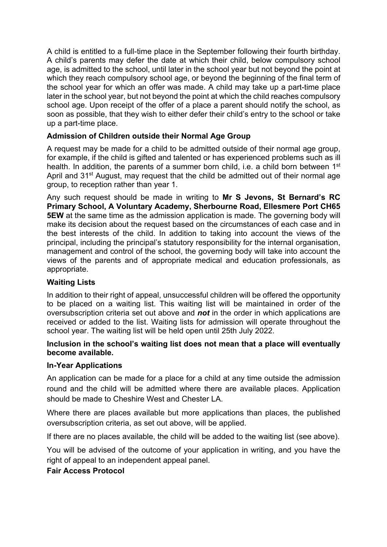A child is entitled to a full-time place in the September following their fourth birthday. A child's parents may defer the date at which their child, below compulsory school age, is admitted to the school, until later in the school year but not beyond the point at which they reach compulsory school age, or beyond the beginning of the final term of the school year for which an offer was made. A child may take up a part-time place later in the school year, but not beyond the point at which the child reaches compulsory school age. Upon receipt of the offer of a place a parent should notify the school, as soon as possible, that they wish to either defer their child's entry to the school or take up a part-time place.

# **Admission of Children outside their Normal Age Group**

A request may be made for a child to be admitted outside of their normal age group, for example, if the child is gifted and talented or has experienced problems such as ill health. In addition, the parents of a summer born child, i.e. a child born between 1<sup>st</sup> April and 31<sup>st</sup> August, may request that the child be admitted out of their normal age group, to reception rather than year 1.

Any such request should be made in writing to **Mr S Jevons, St Bernard's RC Primary School, A Voluntary Academy, Sherbourne Road, Ellesmere Port CH65 5EW** at the same time as the admission application is made. The governing body will make its decision about the request based on the circumstances of each case and in the best interests of the child. In addition to taking into account the views of the principal, including the principal's statutory responsibility for the internal organisation, management and control of the school, the governing body will take into account the views of the parents and of appropriate medical and education professionals, as appropriate.

## **Waiting Lists**

In addition to their right of appeal, unsuccessful children will be offered the opportunity to be placed on a waiting list. This waiting list will be maintained in order of the oversubscription criteria set out above and *not* in the order in which applications are received or added to the list. Waiting lists for admission will operate throughout the school year. The waiting list will be held open until 25th July 2022.

## **Inclusion in the school's waiting list does not mean that a place will eventually become available.**

## **In-Year Applications**

An application can be made for a place for a child at any time outside the admission round and the child will be admitted where there are available places. Application should be made to Cheshire West and Chester LA.

Where there are places available but more applications than places, the published oversubscription criteria, as set out above, will be applied.

If there are no places available, the child will be added to the waiting list (see above).

You will be advised of the outcome of your application in writing, and you have the right of appeal to an independent appeal panel.

## **Fair Access Protocol**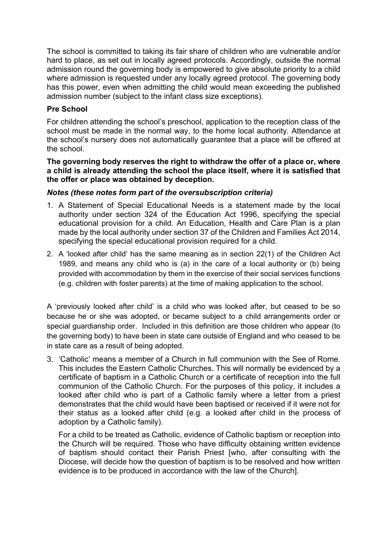The school is committed to taking its fair share of children who are vulnerable and/or hard to place, as set out in locally agreed protocols. Accordingly, outside the normal admission round the governing body is empowered to give absolute priority to a child where admission is requested under any locally agreed protocol. The governing body has this power, even when admitting the child would mean exceeding the published admission number (subject to the infant class size exceptions).

## **Pre School**

For children attending the school's preschool, application to the reception class of the school must be made in the normal way, to the home local authority. Attendance at the school's nursery does not automatically guarantee that a place will be offered at the school.

#### **The governing body reserves the right to withdraw the offer of a place or, where a child is already attending the school the place itself, where it is satisfied that the offer or place was obtained by deception.**

## *Notes (these notes form part of the oversubscription criteria)*

- 1. A Statement of Special Educational Needs is a statement made by the local authority under section 324 of the Education Act 1996, specifying the special educational provision for a child. An Education, Health and Care Plan is a plan made by the local authority under section 37 of the Children and Families Act 2014, specifying the special educational provision required for a child.
- 2. A 'looked after child' has the same meaning as in section 22(1) of the Children Act 1989, and means any child who is (a) in the care of a local authority or (b) being provided with accommodation by them in the exercise of their social services functions (e.g. children with foster parents) at the time of making application to the school.

A 'previously looked after child' is a child who was looked after, but ceased to be so because he or she was adopted, or became subject to a child arrangements order or special guardianship order. Included in this definition are those children who appear (to the governing body) to have been in state care outside of England and who ceased to be in state care as a result of being adopted.

3. 'Catholic' means a member of a Church in full communion with the See of Rome. This includes the Eastern Catholic Churches. This will normally be evidenced by a certificate of baptism in a Catholic Church or a certificate of reception into the full communion of the Catholic Church. For the purposes of this policy, it includes a looked after child who is part of a Catholic family where a letter from a priest demonstrates that the child would have been baptised or received if it were not for their status as a looked after child (e.g. a looked after child in the process of adoption by a Catholic family).

For a child to be treated as Catholic, evidence of Catholic baptism or reception into the Church will be required. Those who have difficulty obtaining written evidence of baptism should contact their Parish Priest [who, after consulting with the Diocese, will decide how the question of baptism is to be resolved and how written evidence is to be produced in accordance with the law of the Church].